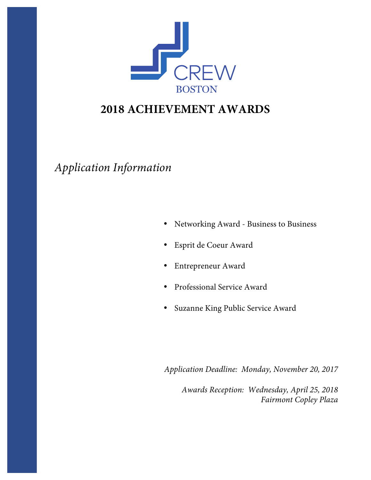

# **2018 ACHIEVEMENT AWARDS**

*Application Information*

- Networking Award Business to Business
- Esprit de Coeur Award
- Entrepreneur Award
- Professional Service Award
- Suzanne King Public Service Award

*Application Deadline: Monday, November 20, 2017*

*Awards Reception: Wednesday, April 25, 2018 Fairmont Copley Plaza*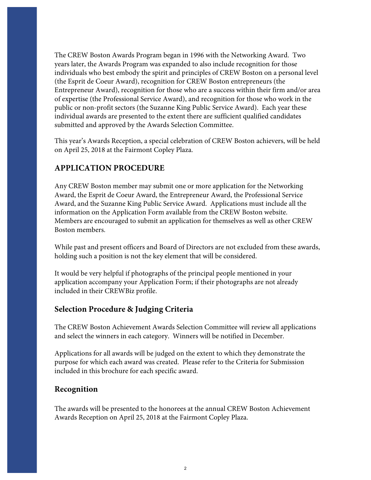The CREW Boston Awards Program began in 1996 with the Networking Award. Two years later, the Awards Program was expanded to also include recognition for those individuals who best embody the spirit and principles of CREW Boston on a personal level (the Esprit de Coeur Award), recognition for CREW Boston entrepreneurs (the Entrepreneur Award), recognition for those who are a success within their firm and/or area of expertise (the Professional Service Award), and recognition for those who work in the public or non-profit sectors (the Suzanne King Public Service Award). Each year these individual awards are presented to the extent there are sufficient qualified candidates submitted and approved by the Awards Selection Committee.

This year's Awards Reception, a special celebration of CREW Boston achievers, will be held on April 25, 2018 at the Fairmont Copley Plaza.

## **APPLICATION PROCEDURE**

Any CREW Boston member may submit one or more application for the Networking Award, the Esprit de Coeur Award, the Entrepreneur Award, the Professional Service Award, and the Suzanne King Public Service Award. Applications must include all the information on the Application Form available from the CREW Boston website. Members are encouraged to submit an application for themselves as well as other CREW Boston members.

While past and present officers and Board of Directors are not excluded from these awards, holding such a position is not the key element that will be considered.

It would be very helpful if photographs of the principal people mentioned in your application accompany your Application Form; if their photographs are not already included in their CREWBiz profile.

#### **Selection Procedure & Judging Criteria**

The CREW Boston Achievement Awards Selection Committee will review all applications and select the winners in each category. Winners will be notified in December.

Applications for all awards will be judged on the extent to which they demonstrate the purpose for which each award was created. Please refer to the Criteria for Submission included in this brochure for each specific award.

#### **Recognition**

The awards will be presented to the honorees at the annual CREW Boston Achievement Awards Reception on April 25, 2018 at the Fairmont Copley Plaza.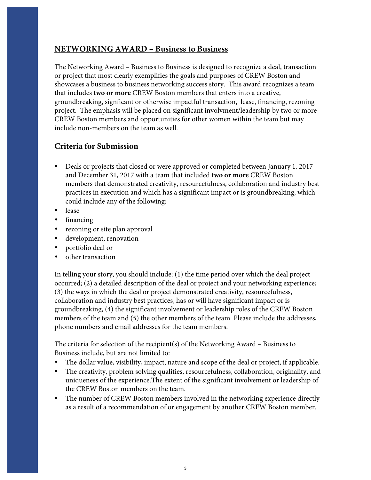#### **NETWORKING AWARD – Business to Business**

The Networking Award – Business to Business is designed to recognize a deal, transaction or project that most clearly exemplifies the goals and purposes of CREW Boston and showcases a business to business networking success story. This award recognizes a team that includes **two or more** CREW Boston members that enters into a creative, groundbreaking, signficant or otherwise impactful transaction, lease, financing, rezoning project. The emphasis will be placed on significant involvment/leadership by two or more CREW Boston members and opportunities for other women within the team but may include non-members on the team as well.

#### **Criteria for Submission**

- Deals or projects that closed or were approved or completed between January 1, 2017 and December 31, 2017 with a team that included **two or more** CREW Boston members that demonstrated creativity, resourcefulness, collaboration and industry best practices in execution and which has a significant impact or is groundbreaking, which could include any of the following:
- lease
- financing
- rezoning or site plan approval
- development, renovation
- portfolio deal or
- other transaction

In telling your story, you should include: (1) the time period over which the deal project occurred; (2) a detailed description of the deal or project and your networking experience; (3) the ways in which the deal or project demonstrated creativity, resourcefulness, collaboration and industry best practices, has or will have significant impact or is groundbreaking, (4) the significant involvement or leadership roles of the CREW Boston members of the team and (5) the other members of the team. Please include the addresses, phone numbers and email addresses for the team members.

The criteria for selection of the recipient(s) of the Networking Award – Business to Business include, but are not limited to:

- The dollar value, visibility, impact, nature and scope of the deal or project, if applicable.
- The creativity, problem solving qualities, resourcefulness, collaboration, originality, and uniqueness of the experience.The extent of the significant involvement or leadership of the CREW Boston members on the team.
- The number of CREW Boston members involved in the networking experience directly as a result of a recommendation of or engagement by another CREW Boston member.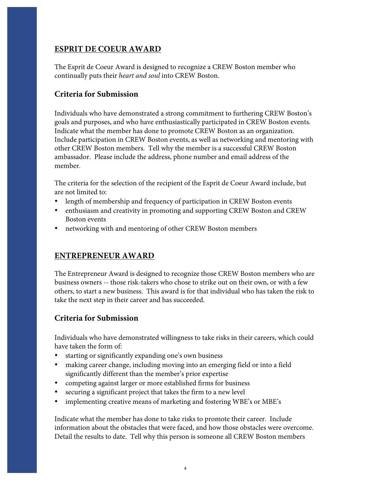#### **ESPRIT DE COEUR AWARD**

The Esprit de Coeur Award is designed to recognize a CREW Boston member who continually puts their *heart and soul* into CREW Boston.

#### **Criteria for Submission**

Individuals who have demonstrated a strong commitment to furthering CREW Boston's goals and purposes, and who have enthusiastically participated in CREW Boston events. Indicate what the member has done to promote CREW Boston as an organization. Include participation in CREW Boston events, as well as networking and mentoring with other CREW Boston members. Tell why the member is a successful CREW Boston ambassador. Please include the address, phone number and email address of the member.

The criteria for the selection of the recipient of the Esprit de Coeur Award include, but are not limited to:

- length of membership and frequency of participation in CREW Boston events
- enthusiasm and creativity in promoting and supporting CREW Boston and CREW Boston events
- networking with and mentoring of other CREW Boston members

#### **ENTREPRENEUR AWARD**

The Entrepreneur Award is designed to recognize those CREW Boston members who are business owners -- those risk-takers who chose to strike out on their own, or with a few others, to start a new business. This award is for that individual who has taken the risk to take the next step in their career and has succeeded.

#### **Criteria for Submission**

Individuals who have demonstrated willingness to take risks in their careers, which could have taken the form of:

- starting or significantly expanding one's own business
- making career change, including moving into an emerging field or into a field significantly different than the member's prior expertise
- competing against larger or more established firms for business
- securing a significant project that takes the firm to a new level
- implementing creative means of marketing and fostering WBE's or MBE's

Indicate what the member has done to take risks to promote their career. Include information about the obstacles that were faced, and how those obstacles were overcome. Detail the results to date. Tell why this person is someone all CREW Boston members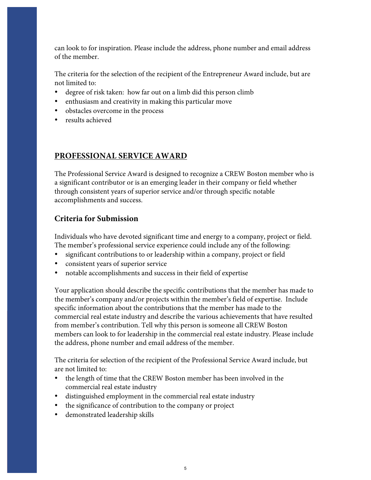can look to for inspiration. Please include the address, phone number and email address of the member.

The criteria for the selection of the recipient of the Entrepreneur Award include, but are not limited to:

- degree of risk taken: how far out on a limb did this person climb
- enthusiasm and creativity in making this particular move
- obstacles overcome in the process
- results achieved

# **PROFESSIONAL SERVICE AWARD**

The Professional Service Award is designed to recognize a CREW Boston member who is a significant contributor or is an emerging leader in their company or field whether through consistent years of superior service and/or through specific notable accomplishments and success.

# **Criteria for Submission**

Individuals who have devoted significant time and energy to a company, project or field. The member's professional service experience could include any of the following:

- significant contributions to or leadership within a company, project or field
- consistent years of superior service
- notable accomplishments and success in their field of expertise

Your application should describe the specific contributions that the member has made to the member's company and/or projects within the member's field of expertise. Include specific information about the contributions that the member has made to the commercial real estate industry and describe the various achievements that have resulted from member's contribution. Tell why this person is someone all CREW Boston members can look to for leadership in the commercial real estate industry. Please include the address, phone number and email address of the member.

The criteria for selection of the recipient of the Professional Service Award include, but are not limited to:

- the length of time that the CREW Boston member has been involved in the commercial real estate industry
- distinguished employment in the commercial real estate industry
- the significance of contribution to the company or project
- demonstrated leadership skills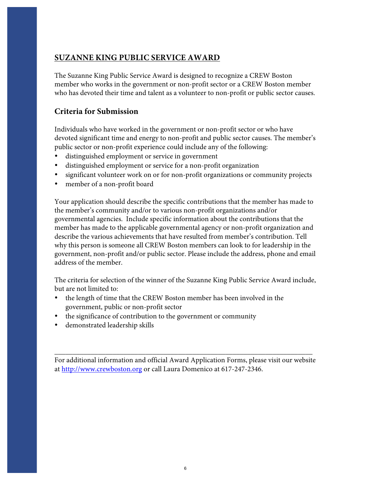# **SUZANNE KING PUBLIC SERVICE AWARD**

The Suzanne King Public Service Award is designed to recognize a CREW Boston member who works in the government or non-profit sector or a CREW Boston member who has devoted their time and talent as a volunteer to non-profit or public sector causes.

## **Criteria for Submission**

Individuals who have worked in the government or non-profit sector or who have devoted significant time and energy to non-profit and public sector causes. The member's public sector or non-profit experience could include any of the following:

- distinguished employment or service in government
- distinguished employment or service for a non-profit organization
- significant volunteer work on or for non-profit organizations or community projects
- member of a non-profit board

Your application should describe the specific contributions that the member has made to the member's community and/or to various non-profit organizations and/or governmental agencies. Include specific information about the contributions that the member has made to the applicable governmental agency or non-profit organization and describe the various achievements that have resulted from member's contribution. Tell why this person is someone all CREW Boston members can look to for leadership in the government, non-profit and/or public sector. Please include the address, phone and email address of the member.

The criteria for selection of the winner of the Suzanne King Public Service Award include, but are not limited to:

- the length of time that the CREW Boston member has been involved in the government, public or non-profit sector
- the significance of contribution to the government or community
- demonstrated leadership skills

For additional information and official Award Application Forms, please visit our website at http://www.crewboston.org or call Laura Domenico at 617-247-2346.

\_\_\_\_\_\_\_\_\_\_\_\_\_\_\_\_\_\_\_\_\_\_\_\_\_\_\_\_\_\_\_\_\_\_\_\_\_\_\_\_\_\_\_\_\_\_\_\_\_\_\_\_\_\_\_\_\_\_\_\_\_\_\_\_\_\_\_\_\_\_\_